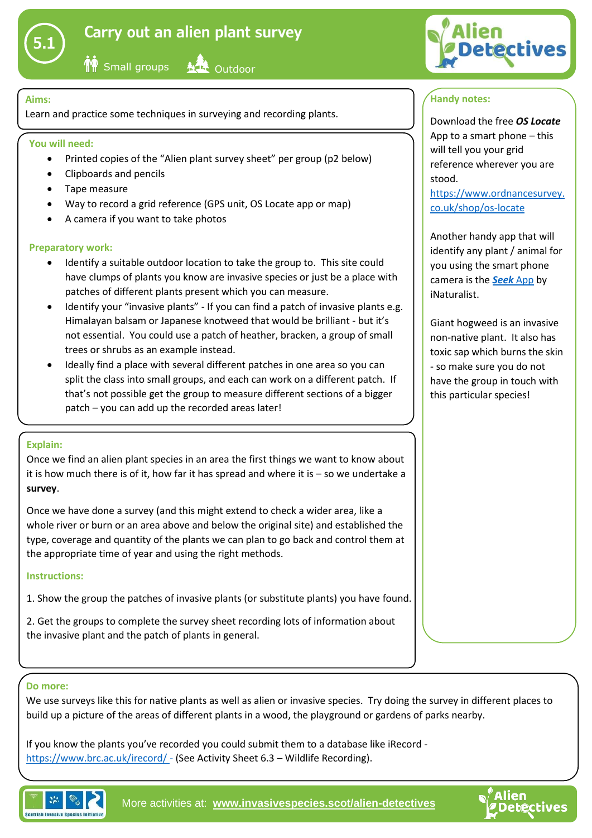

**M** Small groups **ATA** Outdoor

# **Aims:**

Learn and practice some techniques in surveying and recording plants.

### **You will need:**

- Printed copies of the "Alien plant survey sheet" per group (p2 below)
- Clipboards and pencils
- Tape measure
- Way to record a grid reference (GPS unit, OS Locate app or map)
- A camera if you want to take photos

## **Preparatory work:**

- Identify a suitable outdoor location to take the group to. This site could have clumps of plants you know are invasive species or just be a place with patches of different plants present which you can measure.
- Identify your "invasive plants" If you can find a patch of invasive plants e.g. Himalayan balsam or Japanese knotweed that would be brilliant - but it's not essential. You could use a patch of heather, bracken, a group of small trees or shrubs as an example instead.
- Ideally find a place with several different patches in one area so you can split the class into small groups, and each can work on a different patch. If that's not possible get the group to measure different sections of a bigger patch – you can add up the recorded areas later!

#### **Explain:**

Once we find an alien plant species in an area the first things we want to know about it is how much there is of it, how far it has spread and where it is – so we undertake a **survey**.

Once we have done a survey (and this might extend to check a wider area, like a whole river or burn or an area above and below the original site) and established the type, coverage and quantity of the plants we can plan to go back and control them at the appropriate time of year and using the right methods.

#### **Instructions:**

1. Show the group the patches of invasive plants (or substitute plants) you have found.

2. Get the groups to complete the survey sheet recording lots of information about the invasive plant and the patch of plants in general.

#### **Do more:**

We use surveys like this for native plants as well as alien or invasive species. Try doing the survey in different places to build up a picture of the areas of different plants in a wood, the playground or gardens of parks nearby.

If you know the plants you've recorded you could submit them to a database like iRecord <https://www.brc.ac.uk/irecord/> - (See Activity Sheet 6.3 – Wildlife Recording).



More activities at: **[www.invasivespecies.scot/alien-detectives](file:///C:/Users/sisi/Documents/SISI%20Project/Education/Alien%20Detectives/2%20-%20Discover%20INNS/www.invasivespecies.scot/alien-detectives)**



# **Handy notes:**

Download the free *OS Locate* App to a smart phone – this will tell you your grid reference wherever you are stood.

[https://www.ordnancesurvey.](https://www.ordnancesurvey.co.uk/shop/os-locate) [co.uk/shop/os-locate](https://www.ordnancesurvey.co.uk/shop/os-locate)

Another handy app that will identify any plant / animal for you using the smart phone camera is the *[Seek](https://www.inaturalist.org/pages/seek_app)* App by iNaturalist.

Giant hogweed is an invasive non-native plant. It also has toxic sap which burns the skin - so make sure you do not have the group in touch with this particular species!